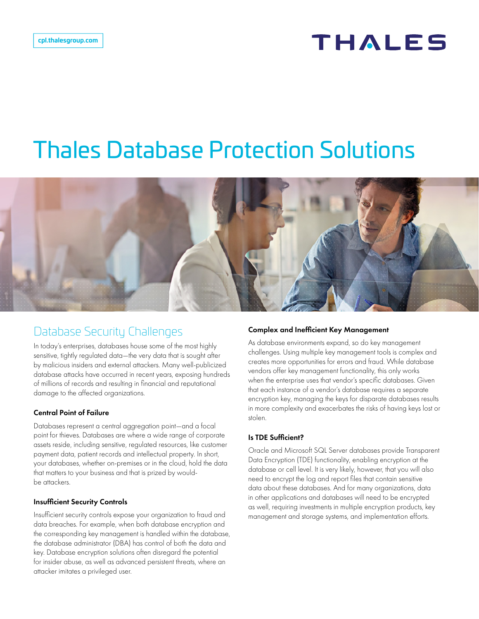# **THALES**

# Thales Database Protection Solutions



### Database Security Challenges

In today's enterprises, databases house some of the most highly sensitive, tightly regulated data—the very data that is sought after by malicious insiders and external attackers. Many well-publicized database attacks have occurred in recent years, exposing hundreds of millions of records and resulting in financial and reputational damage to the affected organizations.

#### Central Point of Failure

Databases represent a central aggregation point—and a focal point for thieves. Databases are where a wide range of corporate assets reside, including sensitive, regulated resources, like customer payment data, patient records and intellectual property. In short, your databases, whether on-premises or in the cloud, hold the data that matters to your business and that is prized by wouldbe attackers.

#### Insufficient Security Controls

Insufficient security controls expose your organization to fraud and data breaches. For example, when both database encryption and the corresponding key management is handled within the database, the database administrator (DBA) has control of both the data and key. Database encryption solutions often disregard the potential for insider abuse, as well as advanced persistent threats, where an attacker imitates a privileged user.

#### Complex and Inefficient Key Management

As database environments expand, so do key management challenges. Using multiple key management tools is complex and creates more opportunities for errors and fraud. While database vendors offer key management functionality, this only works when the enterprise uses that vendor's specific databases. Given that each instance of a vendor's database requires a separate encryption key, managing the keys for disparate databases results in more complexity and exacerbates the risks of having keys lost or stolen.

#### Is TDE Sufficient?

Oracle and Microsoft SQL Server databases provide Transparent Data Encryption (TDE) functionality, enabling encryption at the database or cell level. It is very likely, however, that you will also need to encrypt the log and report files that contain sensitive data about these databases. And for many organizations, data in other applications and databases will need to be encrypted as well, requiring investments in multiple encryption products, key management and storage systems, and implementation efforts.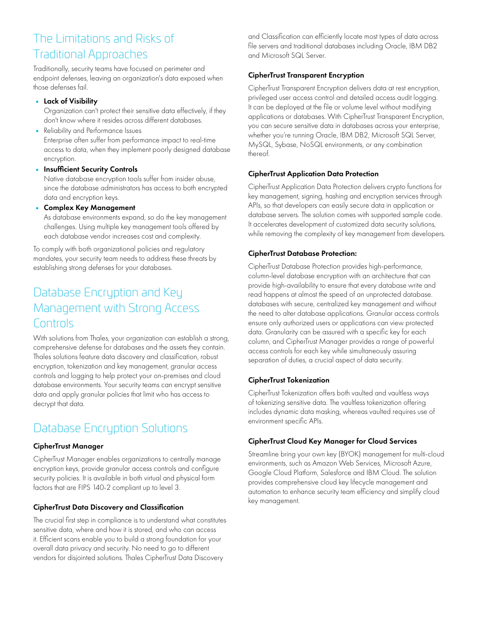## The Limitations and Risks of Traditional Approaches

Traditionally, security teams have focused on perimeter and endpoint defenses, leaving an organization's data exposed when those defenses fail.

• Lack of Visibility

Organization can't protect their sensitive data effectively, if they don't know where it resides across different databases.

- Reliability and Performance Issues Enterprise often suffer from performance impact to real-time access to data, when they implement poorly designed database encryption.
- Insufficient Security Controls

Native database encryption tools suffer from insider abuse, since the database administrators has access to both encrypted data and encryption keys.

• Complex Key Management

As database environments expand, so do the key management challenges. Using multiple key management tools offered by each database vendor increases cost and complexity.

To comply with both organizational policies and regulatory mandates, your security team needs to address these threats by establishing strong defenses for your databases.

## Database Encryption and Key Management with Strong Access Controls

With solutions from Thales, your organization can establish a strong, comprehensive defense for databases and the assets they contain. Thales solutions feature data discovery and classification, robust encryption, tokenization and key management, granular access controls and logging to help protect your on-premises and cloud database environments. Your security teams can encrypt sensitive data and apply granular policies that limit who has access to decrypt that data.

# Database Encryption Solutions

#### CipherTrust Manager

CipherTrust Manager enables organizations to centrally manage encryption keys, provide granular access controls and configure security policies. It is available in both virtual and physical form factors that are FIPS 140-2 compliant up to level 3.

#### CipherTrust Data Discovery and Classification

The crucial first step in compliance is to understand what constitutes sensitive data, where and how it is stored, and who can access it. Efficient scans enable you to build a strong foundation for your overall data privacy and security. No need to go to different vendors for disjointed solutions. Thales CipherTrust Data Discovery

and Classification can efficiently locate most types of data across file servers and traditional databases including Oracle, IBM DB2 and Microsoft SQL Server.

#### CipherTrust Transparent Encryption

CipherTrust Transparent Encryption delivers data at rest encryption, privileged user access control and detailed access audit logging. It can be deployed at the file or volume level without modifying applications or databases. With CipherTrust Transparent Encryption, you can secure sensitive data in databases across your enterprise, whether you're running Oracle, IBM DB2, Microsoft SQL Server, MySQL, Sybase, NoSQL environments, or any combination thereof.

#### CipherTrust Application Data Protection

CipherTrust Application Data Protection delivers crypto functions for key management, signing, hashing and encryption services through APIs, so that developers can easily secure data in application or database servers. The solution comes with supported sample code. It accelerates development of customized data security solutions, while removing the complexity of key management from developers.

#### CipherTrust Database Protection:

CipherTrust Database Protection provides high-performance, column-level database encryption with an architecture that can provide high-availability to ensure that every database write and read happens at almost the speed of an unprotected database. databases with secure, centralized key management and without the need to alter database applications. Granular access controls ensure only authorized users or applications can view protected data. Granularity can be assured with a specific key for each column, and CipherTrust Manager provides a range of powerful access controls for each key while simultaneously assuring separation of duties, a crucial aspect of data security.

#### CipherTrust Tokenization

CipherTrust Tokenization offers both vaulted and vaultless ways of tokenizing sensitive data. The vaultless tokenization offering includes dynamic data masking, whereas vaulted requires use of environment specific APIs.

#### CipherTrust Cloud Key Manager for Cloud Services

Streamline bring your own key (BYOK) management for multi-cloud environments, such as Amazon Web Services, Microsoft Azure, Google Cloud Platform, Salesforce and IBM Cloud. The solution provides comprehensive cloud key lifecycle management and automation to enhance security team efficiency and simplify cloud key management.